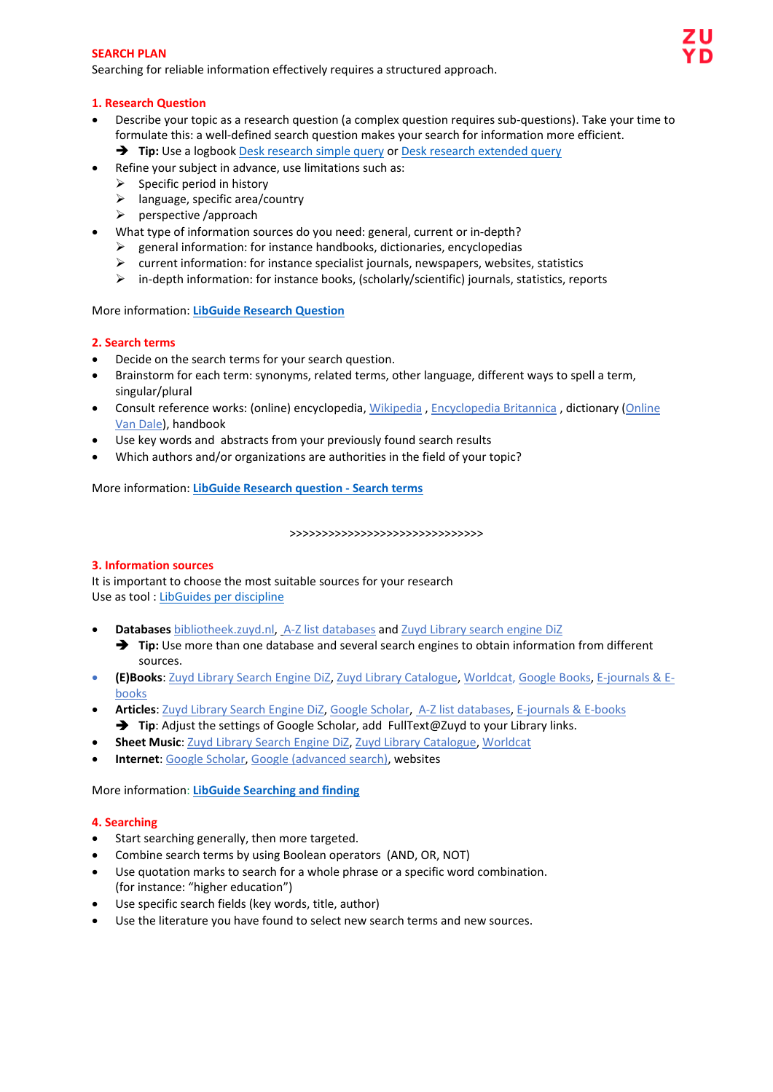#### **SEARCH PLAN**

Searching for reliable information effectively requires a structured approach.

### **1. Research Question**

- Describe your topic as a research question (a complex question requires sub-questions). Take your time to formulate this: a well-defined search question makes your search for information more efficient.
	- **Tip:** Use a logbook [Desk research simple query](https://libguides.bibliotheek.zuyd.nl/ld.php?content_id=32102440) or [Desk research extended query](https://libguides.bibliotheek.zuyd.nl/ld.php?content_id=32102441)
- Refine your subject in advance, use limitations such as:
	- $\triangleright$  Specific period in history
	- $\blacktriangleright$  language, specific area/country
	- $\triangleright$  perspective /approach
- What type of information sources do you need: general, current or in-depth?
	- general information: for instance handbooks, dictionaries, encyclopedias
	- $\triangleright$  current information: for instance specialist journals, newspapers, websites, statistics
	- $\triangleright$  in-depth information: for instance books, (scholarly/scientific) journals, statistics, reports

## More information: **[LibGuide Research Question](https://libguides.bibliotheek.zuyd.nl/researchquestion)**

## **2. Search terms**

- Decide on the search terms for your search question.
- Brainstorm for each term: synonyms, related terms, other language, different ways to spell a term, singular/plural
- Consult reference works: (online) encyclopedia[, Wikipedia](https://nl.wikipedia.org/wiki/Hoofdpagina) , [Encyclopedia Britannica](https://www.britannica.com/) , dictionary [\(Online](https://zuyd.idm.oclc.org/login?url=https://zuydhs.vandale.nl/)  [Van Dale\)](https://zuyd.idm.oclc.org/login?url=https://zuydhs.vandale.nl/), handbook
- Use key words and abstracts from your previously found search results
- Which authors and/or organizations are authorities in the field of your topic?

More information: **[LibGuide Research question -](https://libguides.bibliotheek.zuyd.nl/researchquestion/searchterms) Search terms**

#### >>>>>>>>>>>>>>>>>>>>>>>>>>>>>>

## **3. Information sources**

It is important to choose the most suitable sources for your research Use as tool : [LibGuides per discipline](https://libguides.bibliotheek.zuyd.nl/)

- **Databases** [bibliotheek.zuyd.nl,](https://bibliotheek.zuyd.nl/) [A-Z list databases](https://libguides.bibliotheek.zuyd.nl/az.php) and [Zuyd Library search engine DiZ](https://eds.b.ebscohost.com/eds/search/advanced?vid=0&sid=f200e2a1-6a33-4bed-bf39-05f96885d1d4%40sessionmgr104)
	- → **Tip:** Use more than one database and several search engines to obtain information from different sources.
- **(E)Books**: [Zuyd Library Search Engine DiZ,](https://eds.b.ebscohost.com/eds/search/advanced?vid=0&sid=f200e2a1-6a33-4bed-bf39-05f96885d1d4%40sessionmgr104) [Zuyd Library Catalogue,](https://vufind.cipal.be/zuyd/?lng=nl) [Worldcat,](https://www.worldcat.org/account/?&page=searchItems&lang=en) [Google Books,](https://books.google.com/) [E-journals & E](http://zuyd.idm.oclc.org/login?url=http://search.ebscohost.com/login.aspx?authtype=ip,uid&profile=edsbas&plp=1)[books](http://zuyd.idm.oclc.org/login?url=http://search.ebscohost.com/login.aspx?authtype=ip,uid&profile=edsbas&plp=1)
- **Articles**: [Zuyd Library Search Engine DiZ,](https://eds.b.ebscohost.com/eds/search/advanced?vid=6&sid=f200e2a1-6a33-4bed-bf39-05f96885d1d4%40sessionmgr104) [Google Scholar,](https://scholar.google.nl/) [A-Z list databases,](https://libguides.bibliotheek.zuyd.nl/az.php) [E-journals & E-books](http://zuyd.idm.oclc.org/login?url=http://search.ebscohost.com/login.aspx?authtype=ip,uid&profile=edsbas&plp=1) → Tip: Adjust the settings of Google Scholar, add FullText@Zuyd to your Library links.
- **Sheet Music[: Zuyd Library Search Engine DiZ,](https://eds.b.ebscohost.com/eds/search/advanced?vid=0&sid=f200e2a1-6a33-4bed-bf39-05f96885d1d4%40sessionmgr104) [Zuyd Library Catalogue,](https://vufind.cipal.be/zuyd/?lng=nl) [Worldcat](https://www.worldcat.org/account/?&page=searchItems&lang=en)**
- **Internet**[: Google Scholar,](https://scholar.google.nl/) [Google \(advanced search\),](https://www.google.com/advanced_search?hl=en-NL&fg=1) websites

More information: **[LibGuide Searching and finding](https://libguides.bibliotheek.zuyd.nl/searching)**

## **4. Searching**

- Start searching generally, then more targeted.
- Combine search terms by using Boolean operators (AND, OR, NOT)
- Use quotation marks to search for a whole phrase or a specific word combination. (for instance: "higher education")
- Use specific search fields (key words, title, author)
- Use the literature you have found to select new search terms and new sources.